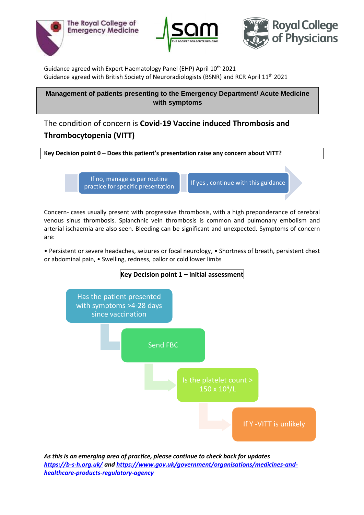





Guidance agreed with Expert Haematology Panel (EHP) April 10<sup>th</sup> 2021 Guidance agreed with British Society of Neuroradiologists (BSNR) and RCR April 11th 2021

**Management of patients presenting to the Emergency Department/ Acute Medicine with symptoms** 

The condition of concern is **Covid-19 Vaccine induced Thrombosis and Thrombocytopenia (VITT) >4-28 days post the Astra Zeneca vaccine** 

**Key Decision point 0 – Does this patient's presentation raise any concern about VITT?** 

If no, manage as per routine practice for specific presentation **If** yes , continue with this guidance

Concern- cases usually present with progressive thrombosis, with a high preponderance of cerebral venous sinus thrombosis. Splanchnic vein thrombosis is common and pulmonary embolism and arterial ischaemia are also seen. Bleeding can be significant and unexpected. Symptoms of concern are:

• Persistent or severe headaches, seizures or focal neurology, • Shortness of breath, persistent chest or abdominal pain, • Swelling, redness, pallor or cold lower limbs



*As this is an emerging area of practice, please continue to check back for updates <https://b-s-h.org.uk/> an[d https://www.gov.uk/government/organisations/medicines-and](https://www.gov.uk/government/organisations/medicines-and-healthcare-products-regulatory-agency)[healthcare-products-regulatory-agency](https://www.gov.uk/government/organisations/medicines-and-healthcare-products-regulatory-agency)*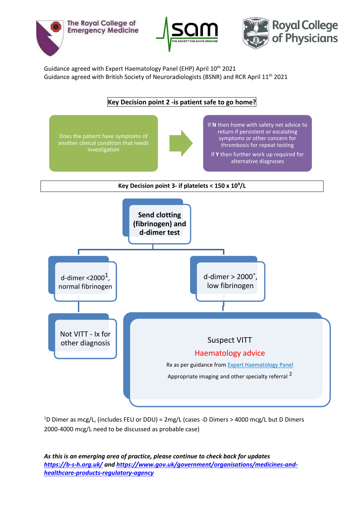





Guidance agreed with Expert Haematology Panel (EHP) April 10<sup>th</sup> 2021 Guidance agreed with British Society of Neuroradiologists (BSNR) and RCR April 11th 2021



<sup>1</sup>D Dimer as mcg/L, (includes FEU or DDU) = 2mg/L (cases -D Dimers > 4000 mcg/L but D Dimers 2000-4000 mcg/L need to be discussed as probable case)

*As this is an emerging area of practice, please continue to check back for updates <https://b-s-h.org.uk/> an[d https://www.gov.uk/government/organisations/medicines-and](https://www.gov.uk/government/organisations/medicines-and-healthcare-products-regulatory-agency)[healthcare-products-regulatory-agency](https://www.gov.uk/government/organisations/medicines-and-healthcare-products-regulatory-agency)*